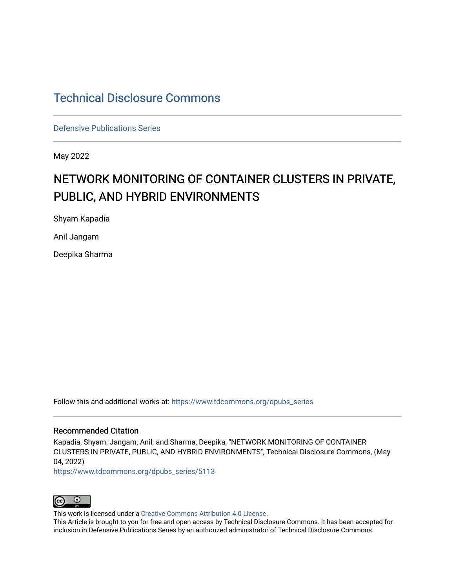## [Technical Disclosure Commons](https://www.tdcommons.org/)

[Defensive Publications Series](https://www.tdcommons.org/dpubs_series)

May 2022

# NETWORK MONITORING OF CONTAINER CLUSTERS IN PRIVATE, PUBLIC, AND HYBRID ENVIRONMENTS

Shyam Kapadia

Anil Jangam

Deepika Sharma

Follow this and additional works at: [https://www.tdcommons.org/dpubs\\_series](https://www.tdcommons.org/dpubs_series?utm_source=www.tdcommons.org%2Fdpubs_series%2F5113&utm_medium=PDF&utm_campaign=PDFCoverPages) 

### Recommended Citation

Kapadia, Shyam; Jangam, Anil; and Sharma, Deepika, "NETWORK MONITORING OF CONTAINER CLUSTERS IN PRIVATE, PUBLIC, AND HYBRID ENVIRONMENTS", Technical Disclosure Commons, (May 04, 2022)

[https://www.tdcommons.org/dpubs\\_series/5113](https://www.tdcommons.org/dpubs_series/5113?utm_source=www.tdcommons.org%2Fdpubs_series%2F5113&utm_medium=PDF&utm_campaign=PDFCoverPages)



This work is licensed under a [Creative Commons Attribution 4.0 License](http://creativecommons.org/licenses/by/4.0/deed.en_US).

This Article is brought to you for free and open access by Technical Disclosure Commons. It has been accepted for inclusion in Defensive Publications Series by an authorized administrator of Technical Disclosure Commons.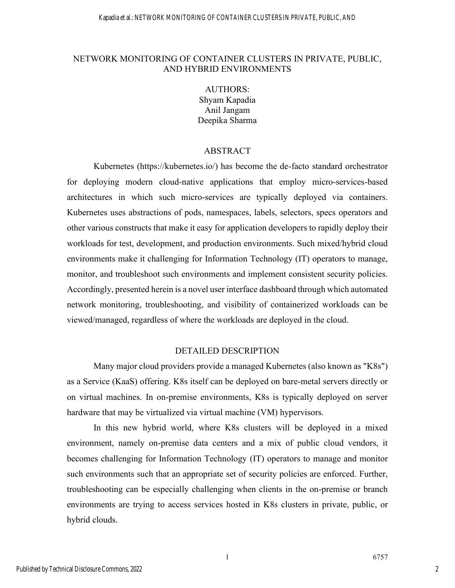### NETWORK MONITORING OF CONTAINER CLUSTERS IN PRIVATE, PUBLIC, AND HYBRID ENVIRONMENTS

AUTHORS: Shyam Kapadia Anil Jangam Deepika Sharma

#### ABSTRACT

Kubernetes (https://kubernetes.io/) has become the de-facto standard orchestrator for deploying modern cloud-native applications that employ micro-services-based architectures in which such micro-services are typically deployed via containers. Kubernetes uses abstractions of pods, namespaces, labels, selectors, specs operators and other various constructs that make it easy for application developers to rapidly deploy their workloads for test, development, and production environments. Such mixed/hybrid cloud environments make it challenging for Information Technology (IT) operators to manage, monitor, and troubleshoot such environments and implement consistent security policies. Accordingly, presented herein is a novel user interface dashboard through which automated network monitoring, troubleshooting, and visibility of containerized workloads can be viewed/managed, regardless of where the workloads are deployed in the cloud.

#### DETAILED DESCRIPTION

Many major cloud providers provide a managed Kubernetes (also known as "K8s") as a Service (KaaS) offering. K8s itself can be deployed on bare-metal servers directly or on virtual machines. In on-premise environments, K8s is typically deployed on server hardware that may be virtualized via virtual machine (VM) hypervisors.

In this new hybrid world, where K8s clusters will be deployed in a mixed environment, namely on-premise data centers and a mix of public cloud vendors, it becomes challenging for Information Technology (IT) operators to manage and monitor such environments such that an appropriate set of security policies are enforced. Further, troubleshooting can be especially challenging when clients in the on-premise or branch environments are trying to access services hosted in K8s clusters in private, public, or hybrid clouds.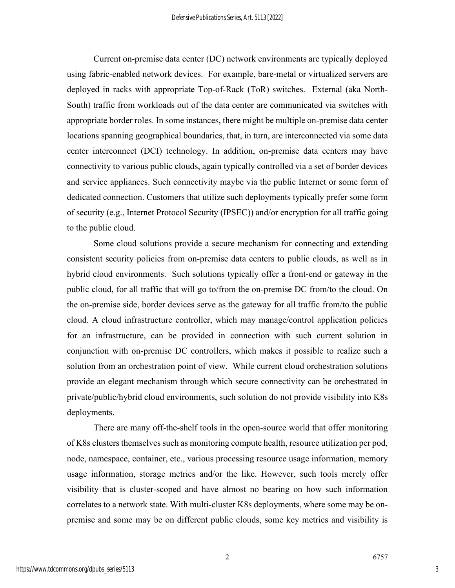Current on-premise data center (DC) network environments are typically deployed using fabric-enabled network devices. For example, bare-metal or virtualized servers are deployed in racks with appropriate Top-of-Rack (ToR) switches. External (aka North-South) traffic from workloads out of the data center are communicated via switches with appropriate border roles. In some instances, there might be multiple on-premise data center locations spanning geographical boundaries, that, in turn, are interconnected via some data center interconnect (DCI) technology. In addition, on-premise data centers may have connectivity to various public clouds, again typically controlled via a set of border devices and service appliances. Such connectivity maybe via the public Internet or some form of dedicated connection. Customers that utilize such deployments typically prefer some form of security (e.g., Internet Protocol Security (IPSEC)) and/or encryption for all traffic going to the public cloud.

Some cloud solutions provide a secure mechanism for connecting and extending consistent security policies from on-premise data centers to public clouds, as well as in hybrid cloud environments. Such solutions typically offer a front-end or gateway in the public cloud, for all traffic that will go to/from the on-premise DC from/to the cloud. On the on-premise side, border devices serve as the gateway for all traffic from/to the public cloud. A cloud infrastructure controller, which may manage/control application policies for an infrastructure, can be provided in connection with such current solution in conjunction with on-premise DC controllers, which makes it possible to realize such a solution from an orchestration point of view. While current cloud orchestration solutions provide an elegant mechanism through which secure connectivity can be orchestrated in private/public/hybrid cloud environments, such solution do not provide visibility into K8s deployments.

There are many off-the-shelf tools in the open-source world that offer monitoring of K8s clusters themselves such as monitoring compute health, resource utilization per pod, node, namespace, container, etc., various processing resource usage information, memory usage information, storage metrics and/or the like. However, such tools merely offer visibility that is cluster-scoped and have almost no bearing on how such information correlates to a network state. With multi-cluster K8s deployments, where some may be onpremise and some may be on different public clouds, some key metrics and visibility is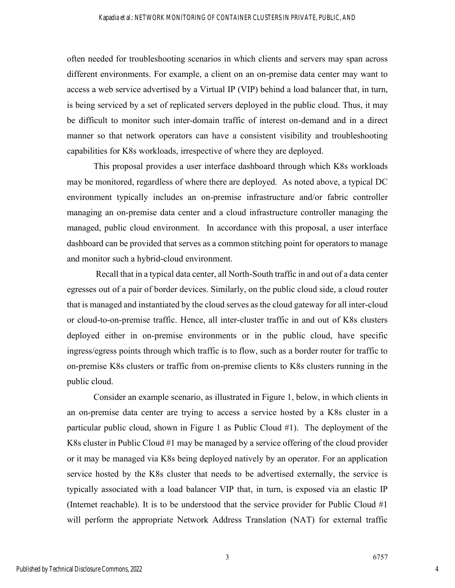often needed for troubleshooting scenarios in which clients and servers may span across different environments. For example, a client on an on-premise data center may want to access a web service advertised by a Virtual IP (VIP) behind a load balancer that, in turn, is being serviced by a set of replicated servers deployed in the public cloud. Thus, it may be difficult to monitor such inter-domain traffic of interest on-demand and in a direct manner so that network operators can have a consistent visibility and troubleshooting capabilities for K8s workloads, irrespective of where they are deployed.

This proposal provides a user interface dashboard through which K8s workloads may be monitored, regardless of where there are deployed. As noted above, a typical DC environment typically includes an on-premise infrastructure and/or fabric controller managing an on-premise data center and a cloud infrastructure controller managing the managed, public cloud environment. In accordance with this proposal, a user interface dashboard can be provided that serves as a common stitching point for operators to manage and monitor such a hybrid-cloud environment.

Recall that in a typical data center, all North-South traffic in and out of a data center egresses out of a pair of border devices. Similarly, on the public cloud side, a cloud router that is managed and instantiated by the cloud serves as the cloud gateway for all inter-cloud or cloud-to-on-premise traffic. Hence, all inter-cluster traffic in and out of K8s clusters deployed either in on-premise environments or in the public cloud, have specific ingress/egress points through which traffic is to flow, such as a border router for traffic to on-premise K8s clusters or traffic from on-premise clients to K8s clusters running in the public cloud.

Consider an example scenario, as illustrated in Figure 1, below, in which clients in an on-premise data center are trying to access a service hosted by a K8s cluster in a particular public cloud, shown in Figure 1 as Public Cloud #1). The deployment of the K8s cluster in Public Cloud #1 may be managed by a service offering of the cloud provider or it may be managed via K8s being deployed natively by an operator. For an application service hosted by the K8s cluster that needs to be advertised externally, the service is typically associated with a load balancer VIP that, in turn, is exposed via an elastic IP (Internet reachable). It is to be understood that the service provider for Public Cloud #1 will perform the appropriate Network Address Translation (NAT) for external traffic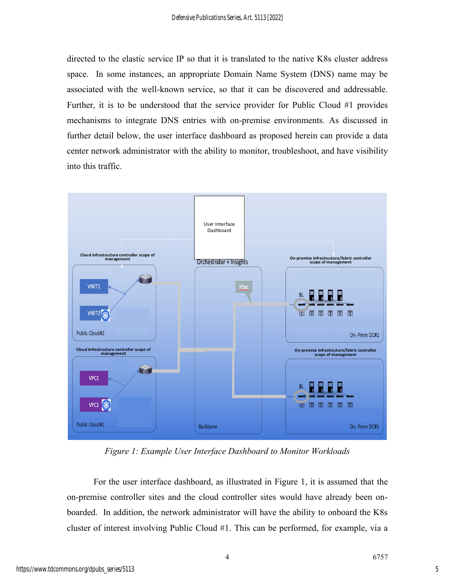directed to the elastic service IP so that it is translated to the native K8s cluster address space. In some instances, an appropriate Domain Name System (DNS) name may be associated with the well-known service, so that it can be discovered and addressable. Further, it is to be understood that the service provider for Public Cloud #1 provides mechanisms to integrate DNS entries with on-premise environments. As discussed in further detail below, the user interface dashboard as proposed herein can provide a data center network administrator with the ability to monitor, troubleshoot, and have visibility into this traffic.



*Figure 1: Example User Interface Dashboard to Monitor Workloads*

For the user interface dashboard, as illustrated in Figure 1, it is assumed that the on-premise controller sites and the cloud controller sites would have already been onboarded. In addition, the network administrator will have the ability to onboard the K8s cluster of interest involving Public Cloud #1. This can be performed, for example, via a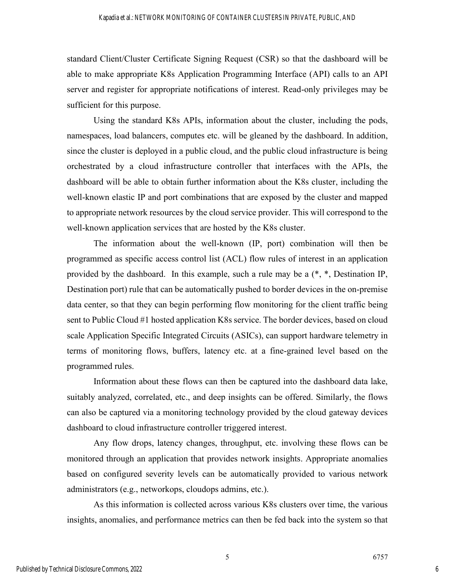standard Client/Cluster Certificate Signing Request (CSR) so that the dashboard will be able to make appropriate K8s Application Programming Interface (API) calls to an API server and register for appropriate notifications of interest. Read-only privileges may be sufficient for this purpose.

Using the standard K8s APIs, information about the cluster, including the pods, namespaces, load balancers, computes etc. will be gleaned by the dashboard. In addition, since the cluster is deployed in a public cloud, and the public cloud infrastructure is being orchestrated by a cloud infrastructure controller that interfaces with the APIs, the dashboard will be able to obtain further information about the K8s cluster, including the well-known elastic IP and port combinations that are exposed by the cluster and mapped to appropriate network resources by the cloud service provider. This will correspond to the well-known application services that are hosted by the K8s cluster.

The information about the well-known (IP, port) combination will then be programmed as specific access control list (ACL) flow rules of interest in an application provided by the dashboard. In this example, such a rule may be a (\*, \*, Destination IP, Destination port) rule that can be automatically pushed to border devices in the on-premise data center, so that they can begin performing flow monitoring for the client traffic being sent to Public Cloud #1 hosted application K8s service. The border devices, based on cloud scale Application Specific Integrated Circuits (ASICs), can support hardware telemetry in terms of monitoring flows, buffers, latency etc. at a fine-grained level based on the programmed rules.

Information about these flows can then be captured into the dashboard data lake, suitably analyzed, correlated, etc., and deep insights can be offered. Similarly, the flows can also be captured via a monitoring technology provided by the cloud gateway devices dashboard to cloud infrastructure controller triggered interest.

Any flow drops, latency changes, throughput, etc. involving these flows can be monitored through an application that provides network insights. Appropriate anomalies based on configured severity levels can be automatically provided to various network administrators (e.g., networkops, cloudops admins, etc.).

As this information is collected across various K8s clusters over time, the various insights, anomalies, and performance metrics can then be fed back into the system so that